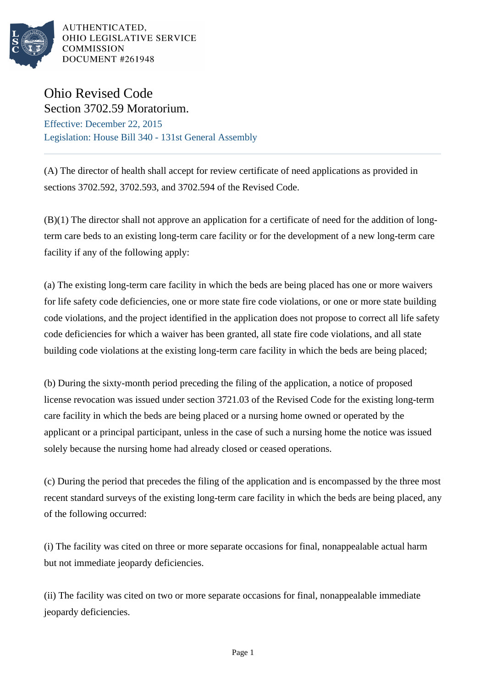

AUTHENTICATED. OHIO LEGISLATIVE SERVICE **COMMISSION** DOCUMENT #261948

## Ohio Revised Code Section 3702.59 Moratorium.

Effective: December 22, 2015 Legislation: House Bill 340 - 131st General Assembly

(A) The director of health shall accept for review certificate of need applications as provided in sections 3702.592, 3702.593, and 3702.594 of the Revised Code.

(B)(1) The director shall not approve an application for a certificate of need for the addition of longterm care beds to an existing long-term care facility or for the development of a new long-term care facility if any of the following apply:

(a) The existing long-term care facility in which the beds are being placed has one or more waivers for life safety code deficiencies, one or more state fire code violations, or one or more state building code violations, and the project identified in the application does not propose to correct all life safety code deficiencies for which a waiver has been granted, all state fire code violations, and all state building code violations at the existing long-term care facility in which the beds are being placed;

(b) During the sixty-month period preceding the filing of the application, a notice of proposed license revocation was issued under section 3721.03 of the Revised Code for the existing long-term care facility in which the beds are being placed or a nursing home owned or operated by the applicant or a principal participant, unless in the case of such a nursing home the notice was issued solely because the nursing home had already closed or ceased operations.

(c) During the period that precedes the filing of the application and is encompassed by the three most recent standard surveys of the existing long-term care facility in which the beds are being placed, any of the following occurred:

(i) The facility was cited on three or more separate occasions for final, nonappealable actual harm but not immediate jeopardy deficiencies.

(ii) The facility was cited on two or more separate occasions for final, nonappealable immediate jeopardy deficiencies.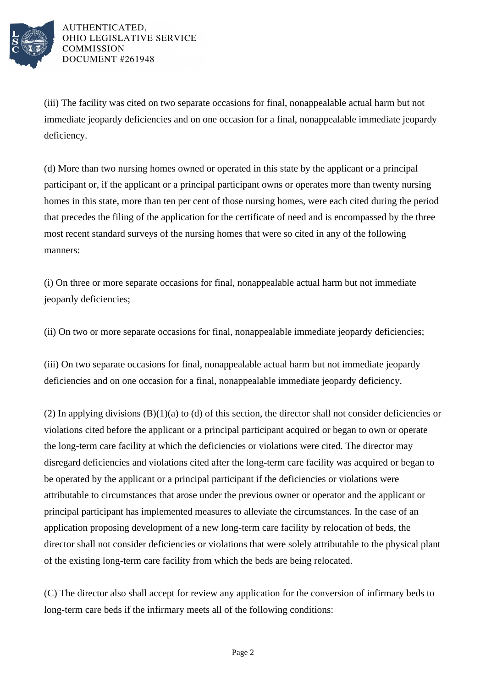

AUTHENTICATED, OHIO LEGISLATIVE SERVICE **COMMISSION** DOCUMENT #261948

(iii) The facility was cited on two separate occasions for final, nonappealable actual harm but not immediate jeopardy deficiencies and on one occasion for a final, nonappealable immediate jeopardy deficiency.

(d) More than two nursing homes owned or operated in this state by the applicant or a principal participant or, if the applicant or a principal participant owns or operates more than twenty nursing homes in this state, more than ten per cent of those nursing homes, were each cited during the period that precedes the filing of the application for the certificate of need and is encompassed by the three most recent standard surveys of the nursing homes that were so cited in any of the following manners:

(i) On three or more separate occasions for final, nonappealable actual harm but not immediate jeopardy deficiencies;

(ii) On two or more separate occasions for final, nonappealable immediate jeopardy deficiencies;

(iii) On two separate occasions for final, nonappealable actual harm but not immediate jeopardy deficiencies and on one occasion for a final, nonappealable immediate jeopardy deficiency.

(2) In applying divisions  $(B)(1)(a)$  to (d) of this section, the director shall not consider deficiencies or violations cited before the applicant or a principal participant acquired or began to own or operate the long-term care facility at which the deficiencies or violations were cited. The director may disregard deficiencies and violations cited after the long-term care facility was acquired or began to be operated by the applicant or a principal participant if the deficiencies or violations were attributable to circumstances that arose under the previous owner or operator and the applicant or principal participant has implemented measures to alleviate the circumstances. In the case of an application proposing development of a new long-term care facility by relocation of beds, the director shall not consider deficiencies or violations that were solely attributable to the physical plant of the existing long-term care facility from which the beds are being relocated.

(C) The director also shall accept for review any application for the conversion of infirmary beds to long-term care beds if the infirmary meets all of the following conditions: